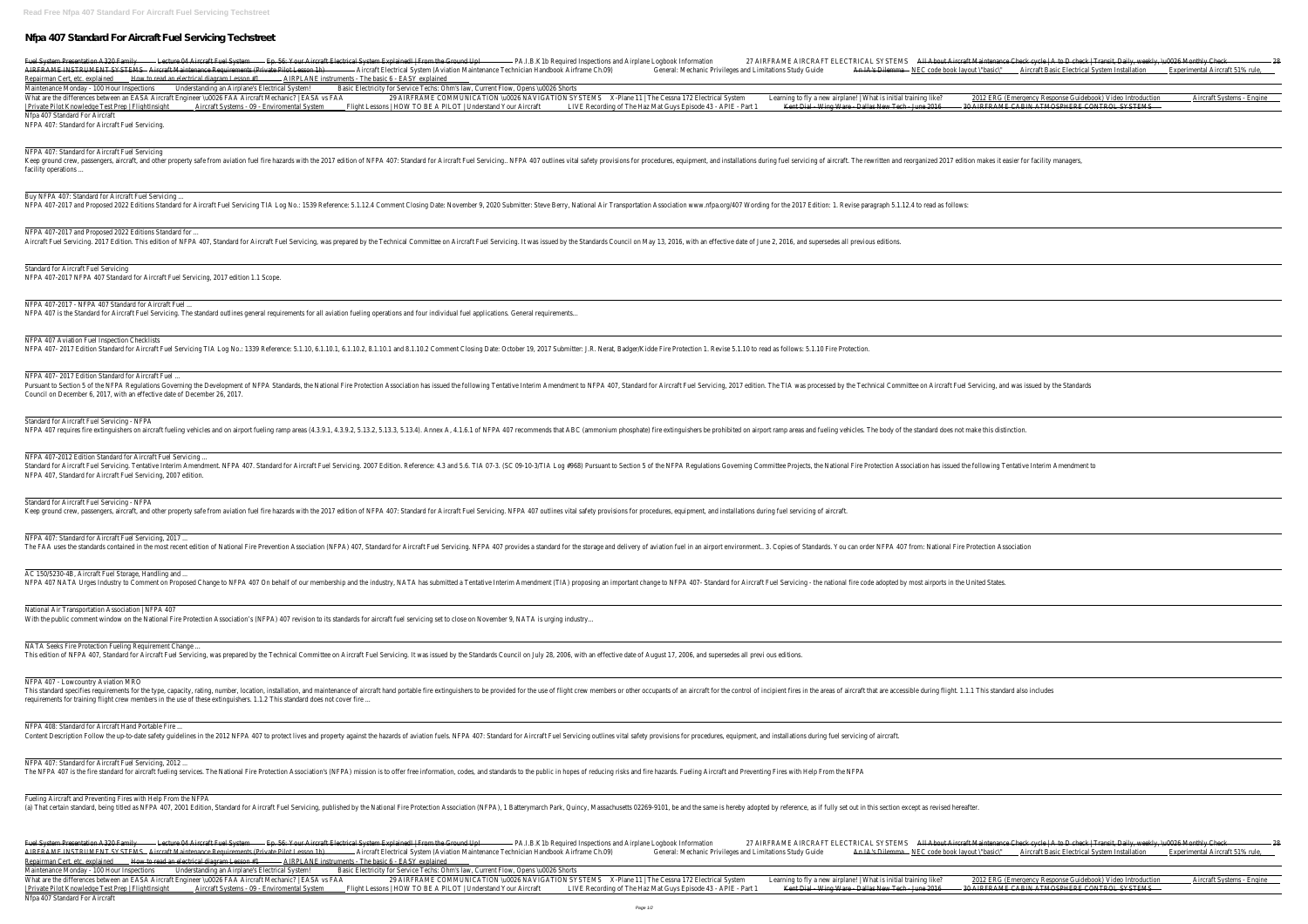## **Nfpa 407 Standard For Aircraft Fuel Servicing Techstreet**

Fuel System Presentation A320 Familwcture 04 Aircraft Fuel System. 56: Your Aircraft Electrical System Explained! | From the Ground Pipl.B.K1b Required Inspections and Airplane Logbook Informational Aircraft Maintenance Ch AIRFRAME INSTRUMENT SYSTEMS Aircraft Maintenance Requirements (Private Pilot Lesson Alim)raft Electrical System (Aviation Maintenance Technician Handbook Airframe Changes and Limitations Study Guiden IA's Dilemma NEC code Repairman Cert, etc. explaine to read an electrical diagram Lesson #IRPLANE instruments - The basic 6 - EASY explained Maintenance Monday - 100 Hour Inspectidenstanding an Airplane's Electrical SystemBasic Electricity for Service Techs: Ohm's law, Current Flow, Opens \u0026 Shorts What are the differences between an EASA Aircraft Engineer \uOO26 FAA Aircraft Mechanic? | EASA2® ARARRAME COMMUNICATION \uOO26 NAVIGATION SYSTEMS Plane 11 | The Cessna 172 Electrical Systemarning to fly a new airplane! | Private Pilot Knowledge Test Prep | FlightInsightcraft Systems - O9 - Enviromental Systems - O9 - Enviromental Systems I HOW TO BE A PILOT | Understand Your Aircraft Recording of The Haz Mat Guys Episode 43 - APIE - Pakent Nfpa 407 Standard For Aircraft

Keep ground crew, passengers, aircraft, and other property safe from aviation fuel fire hazards with the 2017 edition of NFPA 407: Standard for Aircraft Fuel Servicing, NFPA 407: Standard for Aircraft Fuel Servicing.. NFPA facility operations ...

Buy NFPA 407: Standard for Aircraft Fuel Servicing. NFPA 407-2017 and Proposed 2022 Editions Standard for Aircraft Fuel Servicing TIA Log No.: 1539 Reference: 5.1.12.4 Comment Closing Date: November 9, 2020 Submitter: Steve Berry, National Air Transportation www.nfpa.org/40

NFPA 407-2017 and Proposed 2022 Editions Standard for Aircraft Fuel Servicing. 2017 Edition. This edition of NFPA 407, Standard for Aircraft Fuel Servicing, was prepared by the Technical Committee on Aircraft Fuel Servicing. It was issued by the Standards Council on May 13, 2

NFPA 407: Standard for Aircraft Fuel Servicing.

NFPA 407: Standard for Aircraft Fuel Servicing

NFPA 407- 2017 Edition Standard for Aircraft Fuel Pursuant to Section 5 of the NFPA Regulations Governing the Development of NFPA Standards, the National Fire Protection Association has issued the following Tentative Interim Amendment to NFPA 407, Standard for Aircraft Fu Council on December 6, 2017, with an effective date of December 26, 2017.

Standard for Aircraft Fuel Servicing - NFPA NFPA 407 requires fire extinguishers on aircraft fueling vehicles and on airport fueling ramp areas (4.3.9.1, 4.3.9.2, 5.13.2, 5.13.2, 5.13.3, 5.13.4). Annex A, 4.1.6.1 of NFPA 407 recommends that ABC (ammonium phosphate)

NFPA 407-2012 Edition Standard for Aircraft Fuel Servicing Standard for Aircraft Fuel Servicing. Tentative Interim Amendment. NFPA 407. Standard for Aircraft Fuel Servicing. 2007 Edition. Reference: 4.3 and 5.6. TIA 07-3. (SC 09-10-3/TIA Log #968) Pursuant to Section 5 of the NFPA NFPA 407, Standard for Aircraft Fuel Servicing, 2007 edition.

Standard for Aircraft Fuel Servicing - NFPA Keep ground crew, passengers, aircraft, and other property safe from aviation fuel fire hazards with the 2017 edition of NFPA 407: Standard for Aircraft Fuel Servicing. NFPA 407 outlines vital safety provisions for procedu

NFPA 407: Standard for Aircraft Fuel Servicing, 2017 ... The FAA uses the standards contained in the most recent edition of National Fire Prevention Association (NFPA) 407, Standard for the storage and delivery of aviation fuel in an airport environment.. 3. Copies of Standards.

AC 150/5230-4B, Aircraft Fuel Storage, Handling and ... NFPA 407 NATA Urges Industry to Comment on Proposed Change to NFPA 407 On behalf of our membership and the industry, NATA has submitted a Tentative Interim Amendment (TIA) proposing an important change to NFPA 407- Standar

Standard for Aircraft Fuel Servicing NFPA 407-2017 NFPA 407 Standard for Aircraft Fuel Servicing, 2017 edition 1.1 Scope.

NFPA 407-2017 - NFPA 407 Standard for Aircraft Fuel NFPA 407 is the Standard for Aircraft Fuel Servicing. The standard outlines general requirements for all aviation fueling operations and four individual fuel applications. General requirements..

National Air Transportation Association | NFPA 407 With the public comment window on the National Fire Protection Association's (NFPA) 407 revision to its standards for aircraft fuel servicing set to close on November 9, NATA is urging industry...

NATA Seeks Fire Protection Fueling Requirement Change This edition of NFPA 407, Standard for Aircraft Fuel Servicing, was prepared by the Technical Committee on Aircraft Fuel Servicing. It was issued by the Standards Council on July 28, 2006, with an effective date of August

NFPA 407 Aviation Fuel Inspection Checklists

Fuel System Presentation A320 Familycture 04 Aircraft Fuel System. 56: Your Aircraft Electrical System Explained! | From the Ground Pupl.B.K1b Required Inspections and Airplane Logbook Informational Aircraft Maintenance Ch AIRFRAME INSTRUMENT SYSTEMS Aircraft Maintenance Requirements (Private Pilot Lesson Alimitation Maintenance Technician Handbook Airframe Choe book layout \"basic Aircraft Basic Electrical System Installation Maintenance Te Repairman Cert, etc. explaine to read an electrical diagram Lesson MARPLANE instruments - The basic 6 - EASY explained Maintenance Monday - 100 Hour Inspectidenstanding an Airplane's Electrical SystemBasic Electricity for Service Techs: Ohm's law, Current Flow, Opens \u0026 Shorts What are the differences between an EASA Aircraft Engineer \uOO26 FAA Aircraft Mechanic? | EASA2® ARARRAME COMMUNICATION \uOO26 NAVIGATION SYSTEMS Plane 11 | The Cessna 172 Electrical Systemarning to fly a new airplane! | | Private Pilot Knowledge Test Prep | FlightInsi**ght**craft Systems - O9 - Enviromental Systems - O9 - Enviromental Systems | HOW TO BE A PILOT | Understand Your Aircraft Recording of The Haz Mat Guys Episode 43 - APIE - Pa Nfpa 407 Standard For Aircraft

NFPA 407- 2017 Edition Standard for Aircraft Fuel Servicing TIA Log No.: 1339 Reference: 5.1.10, 6.1.10.1, 6.1.10.1, 6.1.10.2, 8.1.10.1 and 8.1.10.2 Comment Closing Date: October 19, 2017 Submitter: J.R. Nerat, Badger/Kidd

The NFPA 407 is the fire standard for aircraft fueling services. The National Fire Protection Association's (NFPA) mission is to offer free information, codes, and standards to the public in hopes of reducing risks and fir

NFPA 407 - Lowcountry Aviation MRO This standard specifies requirements for the type, capacity, rating, number, location, installation, installation, and maintenance of aircraft for the use of flight crew members or other occupants of an aircraft for the us requirements for training flight crew members in the use of these extinguishers. 1.1.2 This standard does not cover fire ...

NFPA 408: Standard for Aircraft Hand Portable Fire Content Description Follow the up-to-date safety guidelines in the 2012 NFPA 407 to protect lives and property against the hazards of aviation fuels. NFPA 407: Standard for Aircraft Fuel Servicing outlines vital safety pro

NFPA 407: Standard for Aircraft Fuel Servicing, 2012 ...

Fueling Aircraft and Preventing Fires with Help From the NFPA

(a) That certain standard, being titled as NFPA 407, 2001 Edition, Standard for Aircraft Fuel Servicing, published by the National Fire Protection Association (NFPA), 1 Batterymarch Park, Quincy, Massachusetts 02269-9101,